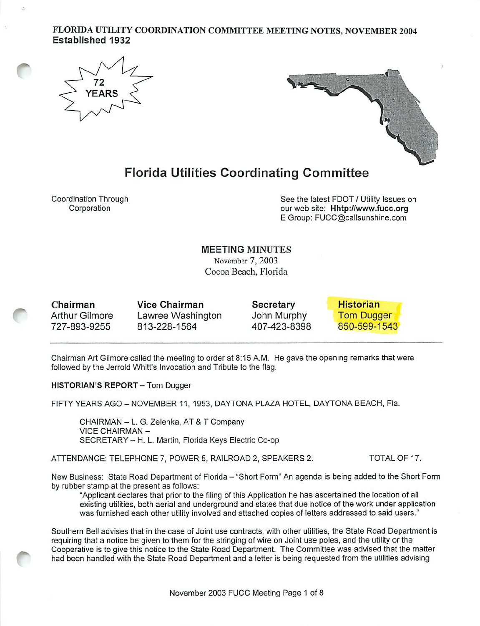### FLORIDA UTILITY COORDINATION COMMITTEE MEETING NOTES, NOVEMBER 2004 Established 1932





# Florida Utilities Coordinating Committee

Coordination Through Corporation

See the latest FOOT / Utility Issues on our web site: Hhtp://www.fucc.org E Group: FUCC@calisunshine.com

MEETING MINUTES November 7, 2003 Cocoa Beach, Florida

Chairman Arthur Gilmore 727-893-9255 Vice Chairman

Lawree Washington 813-228-1564

**Secretary** John Murphy 407-423-8398



Chairman Art Gilmore called the meeting to order at 8:15 A.M. He gave the opening remarks that were followed by the Jerrold Whitt's Invocation and Tribute to the flag.

HISTORIAN'S REPORT - Tom Dugger

FIFTY YEARS AGO - NOVEMBER 11, 1953, DAYTONA PLAZA HOTEL, DAYTONA BEACH. Fla.

CHAIRMAN - L. G. Zeienka, AT & T Company VICE CHAIRMAN - SECRETARY - H. L. Martin, Florida Keys Electric Co-op

ATTENDANCE: TELEPHONE 7, POWER 5, RAILROAD 2, SPEAKERS 2. TOTAL OF 17.

New Business: State Road Department of Florida - "Short Form" An agenda is being added to the Short Form by rubber stamp at the present as follows:

"Applicant declares that prior to the filing of this Application he has ascertained the location of all existing utilities, both aerial and underground and states that due notice of the work under application was furnished each other utility involved and attached copies of letters addressed to said users."

Southern Bell advises that in the case of Joint use contracts, with other utilities, the State Road Department is requiring that a notice be given to them for the stringing of wire on Joint use poles, and the utility or the Cooperative is to give this notice to the State Road Department. The Committee was advised that the matter had been handled with the Stale Road Department and a letter is being requested from the utilities advising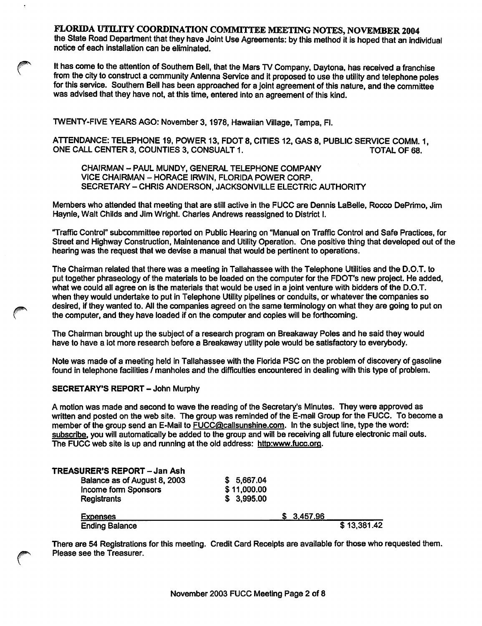the State Road Department that they have Joint Use Agreements: by this method it is hoped that an individual notice of each installation can be eliminated.

It has come to the attention of Southern Bell, that the Mars TV Company, Daytona, has received a franchise from the city to construct a community Antenna Service and it proposed to use the utility and telephone poles for this service. Southem Bell has been approached for a joint agreement of this nature, and the committee was advised that they have not, at this time, entered into an agreement of this kind.

TWENTY-FIVE YEARS AGO: November 3,1978, Hawaiian Village, Tampa, Fl.

ATTENDANCE: TELEPHONE 19, POWER 13, FDOT 8, CITIES 12, GAS 8, PUBLIC SERVICE COMM. 1, ONE CALL CENTER 3, COUNTIES 3, CONSUALT 1.

CHAIRMAN - PAUL MUNDY, GENERAL TELEPHONE COMPANY VICE CHAIRMAN - HORACE IRWIN, FLORIDA POWER CORP. SECRETARY - CHRIS ANDERSON, JACKSONVILLE ELECTRIC AUTHORITY

Members who attended that meeting that are still active in the FUCC are Dennis LaBelle, Rocco DePrimo, Jim Haynie, Walt Childs and Jim Wright. Charles Andrews reassigned to District I.

'Traffic Control" subcommittee reported on Public Hearing on "Manual on Traffic Control and Safe Practices, for Street and Highway Construction, Maintenance and Utility Operation. One positive thing that developed out of the hearing was the request that we devise a manual that would be pertinent to operations.

The Chairman related that there was a meeting in Tallahassee with the Telephone Utilities and the D.O.T. to put together phraseology of the materials to be loaded on the computer for the FDOT's new project. He added, what we could all agree on is the materials that would be used in a joint venture with bidders of the D.O.T. when they would undertake to put in Telephone Utility pipelines or conduits, or whatever the companies so desired, if they wanted to. All the companies agreed on the same terminology on what they are going to put on the computer, and they have loaded if on the computer and copies will be forthcoming.

The Chairman brought up the subject of a research program on Breakaway Poles and he said they would have to have a lot more research before a Breakaway utility pole would be satisfactory to everybody.

Note was made of a meeting held in Tallahassee with the Florida PSC on the problem of discovery of gasoline found in telephone facilities / manholes and the difficulties encountered in dealing with this type of problem.

### SECRETARY'S REPORT - John Murphy

A motion was made and second to wave the reading of the Secretary's Minutes. They were approved as written and posted on the web site. The group was reminded of the E-mail Group for the FUCC. To become a member of the group send an E-Mail to FUCC@callsunshine.com. In the subject line, type the word: subscribe, you will automatically be added to the group and will be receiving all future electronic mail outs. The FUCC web site is up and running at the old address: http:www.fucc.org.

| <b>Ending Balance</b>        | \$13,381.42 |
|------------------------------|-------------|
| <b>Expenses</b>              | \$3,457.96  |
| <b>Registrants</b>           | \$3,995.00  |
| Income form Sponsors         | \$11,000.00 |
| Balance as of August 8, 2003 | \$5,667.04  |
| TREASURER'S REPORT - Jan Ash |             |

There are 54 Registrations for this meeting. Credit Card Receipts are available for those who requested them. Please see the Treasurer.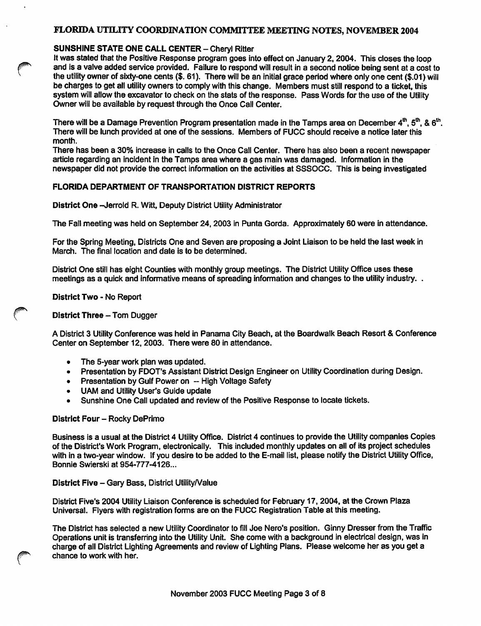### SUNSHINE STATE ONE CALL CENTER - Cheryl Ritter

It was stated that the Positive Response program goes into effect on January 2,2004. This doses the loop and is a valve added service provided. Failure to respond will result in a second notice being sent at a cost to the utility owner of sixty-one cents (\$. 61). There will be an initial grace period where only one cent (\$.01) will be charges to get all utility owners to comply with this change. Members must still respond to a ticket, this system will allow the excavator to check on the stats of the response. Pass Words for the use of the Utility Owner will be available by request through the Once Gail Center.

There will be a Damage Prevention Program presentation made in the Tamps area on December  $4^{\text{th}}$ ,  $5^{\text{th}}$ , &  $6^{\text{th}}$ . There will be lunch provided at one of the sessions. Members of FUCC should receive a notice later this month.

There has been a 30% increase in calls to the Once Call Center. There has also been a recent newspaper article regarding an incident in the Tamps area where a gas main was damaged. Information in the newspaper did not provide the correct information on the activities at SSSOCC. This is being investigated

### FLORIDA DEPARTMENT OF TRANSPORTATION DISTRICT REPORTS

District One -- Jerrold R. Witt, Deputy District Utility Administrator

The Fall meeting was held on September 24, 2003 in Punta Gorda. Approximately 60 were in attendance.

For the Spring Meeting, Districts One and Seven are proposing a Joint Liaison to be held the last week in March. The final location and date is to be determined.

District One still has eight Counties with monthly group meetings. The District Utility Office uses these meetings as a quick and informative means of spreading information and changes to the utility industry. .

District Two - No Report

### District Three - Tom Dugger

A District 3 Utility Conference was held In Panama City Beach, at the Boardwalk Beach Resort & Conference Center on September 12, 2003. There were 80 in attendance.

- The 5-year work plan was updated.<br>• Presentation by FDOT's Assistant D
- Presentation by FDOT's Assistant District Design Engineer on Utility Coordination during Design.
- Presentation by Gulf Power on -- High Voltage Safety
- UAM and Utility User's Guide update
- Sunshine One Call updated and review of the Positive Response to locate tickets.

#### District Four - Rocky DePrimo

Business is a usual at the District 4 Utility Office. District 4 continues to provide the Utility companies Copies of the District's Work Program, electronically. This included monthly updates on all of Its project schedules with in a two-year window. If you desire to be added to the E-mail list, please notify the District Utility Office, Bonnie Swierski at 954-777-4126...

### District Five - Gary Bass, District Utility/Value

District Five's 2004 Utility Liaison Conference is scheduled for February 17, 2004, at the Crown Plaza Universal. Flyers with registration forms are on the FUCC Registration Table at this meeting.

The District has selected a new Utility Coordinator to fill Joe Nero's position. Ginny Dresser from the Traffic Operations unit Is transferring into the Utility Unit. She come with a background in electrical design, was in charge of all District Lighting Agreements and review of Lighting Plans. Please welcome her as you get a chance to work with her.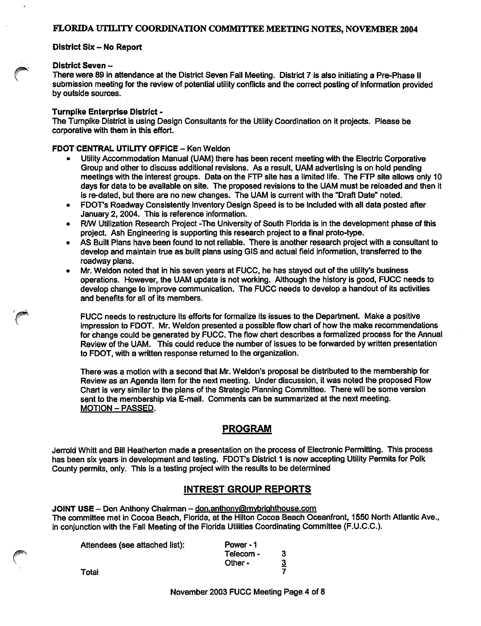#### District Six - No Report

#### District Seven --

There were 89 in attendance at the District Seven Fall Meeting. District 7 is also initiating a Pre-Phase II submission meeting for the review of potential utility conflicts and the correct posting of information provided by outside sources.

### Turnpike Enterprise District -

The Turnpike District is using Design Consultants for the Utility Coordination on it projects. Please be corporative with them in this effort.

### FDOT CENTRAL UTILITY OFFICE - Ken Weldon

- Utility Accommodation Manual (UAM) there has been recent meeting with the Electric Corporative Group and other to discuss additional revisions. As a result, UAM advertising is on hold pending meetings with the interest groups. Data on the FTP site has a limited life. The FTP site allows only 10 days for data to be available on site. The proposed revisions to the UAM must be reloaded and then it is re-dated, but there are no new changes. The UAM is current with the "Draft Date" noted.
- FDOT's Roadway Consistently Inventory Design Speed is to be included with all data posted after January 2,2004. This is reference information.
- R/W Utilization Research Project -The University of South Florida is in the development phase of this project. Ash Engineering is supporting this research project to a final proto-type.
- AS Built Plans have been found to not reliable. There is another research project with a consultant to develop and maintain true as built plans using GIS and actual field information, transferred to the roadway plans.
- Mr. Weldon noted that in his seven years at FUCC, he has stayed out of the utility's business operations. However, the UAM update is not working. Although the history is good, FUCC needs to develop change to improve communication. The FUCC needs to develop a handout of its activities and benefits for all of its members.

FUCC needs to restructure its efforts for formalize its issues to the Department. Make a positive impression to FDOT. Mr. Weldon presented a possible flow chart of how the make recommendations for change could be generated by FUCC. The flow chart describes a formalized process for the Annual Review of the UAM. This could reduce the number of issues to be forwarded by written presentation to FDOT, with a written response retumed to the organization.

There was a motion with a second that Mr. Weldon's proposal be distributed to the membership for Review as an Agenda item for the next meeting. Under discussion, it was noted the proposed Flow Chart is very similar to the plans of the Strategic Planning Committee. There will be some version sent to the membership via E-mail. Comments can be summarized at the next meeting. MOTION - PASSED.

### PROGRAM

Jerroid Whitt and Bill Heatherton made a presentation on the process of Electronic Permitting. This process has been six years in development and testing. FDOT's District 1 is now accepting Utility Permits for Polk County permits, only. This is a testing project with the results to be determined

### INTREST GROUP REPORTS

JOINT USE - Don Anthony Chairman - don.anthony@mybrighthouse.com The committee met in Cocoa Beach, Florida, at the Hilton Cocoa Beach Oceanfront, 1550 North Atlantic Ave., in conjunction with the Fail Meeting of the Florida Utilities Coordinating Committee (F.U.C.C.).

| Attendees (see attached list): | Power - 1 |          |
|--------------------------------|-----------|----------|
|                                | Telecom - | з        |
|                                | Other -   | <u>3</u> |
| Total                          |           |          |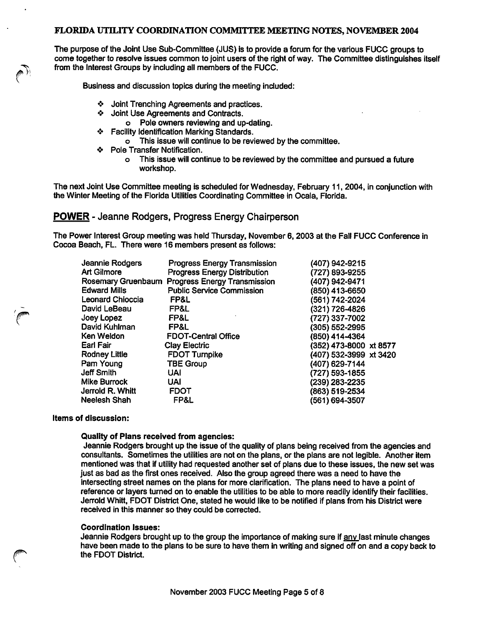The purpose of the Joint Use Sub-Committee (JUS) Is to provide a forum for the various FUGG groups to come together to resolve issues common to joint users of the right of way. The Committee distinguishes itself from the Interest Groups by including ail members of the FUGG.

Business and discussion topics during the meeting included:

- <\* Joint Trenching Agreements and practices.
- \*> Joint Use Agreements and Contracts.
	- o Poie owners reviewing and up-dating.
- \*> Facility identification Marking Standards.
	- o This issue wili continue to be reviewed by the committee.
- ❖ Poie Transfer Notification.
	- o This issue wiil continue to be reviewed by the committee and pursued a future workshop.

The next Joint Use Committee meeting is scheduled for Wednesday, February 11, 2004, in conjunction with the Winter Meeting of the Fiorida Utilities Coordinating Committee in Ocaia, Florida.

POWER - Jeanne Rodgers, Progress Energy Chairperson

The Power Interest Group meeting was held Thursday, November 6,2003 at the Fall FUGG Conference in Cocoa Beach, FL. There were 16 members present as follows:

| Jeannie Rodgers         | <b>Progress Energy Transmission</b> | (407) 942-9215         |
|-------------------------|-------------------------------------|------------------------|
| Art Gilmore             | <b>Progress Energy Distribution</b> | (727) 893-9255         |
| Rosemary Gruenbaum      | <b>Progress Energy Transmission</b> | (407) 942-9471         |
| <b>Edward Mills</b>     | <b>Public Service Commission</b>    | (850) 413-6650         |
| <b>Leonard Chioccia</b> | FP&L                                | (561) 742-2024         |
| David LeBeau            | FP&L                                | (321) 726-4826         |
| Joey Lopez              | FP&L                                | (727) 337-7002         |
| David Kuhlman           | FP&L                                | (305) 552-2995         |
| Ken Weldon              | <b>FDOT-Central Office</b>          | (850) 414-4364         |
| Earl Fair               | <b>Clay Electric</b>                | (352) 473-8000 xt 8577 |
| <b>Rodney Little</b>    | <b>FDOT Turnpike</b>                | (407) 532-3999 xt 3420 |
| Pam Young               | <b>TBE Group</b>                    | (407) 629-7144         |
| <b>Jeff Smith</b>       | <b>UAI</b>                          | (727) 593-1855         |
| <b>Mike Burrock</b>     | <b>UAI</b>                          | (239) 283-2235         |
| Jerrold R. Whitt        | <b>FDOT</b>                         | (863) 519-2534         |
| <b>Neelesh Shah</b>     | FP&L                                | (561) 694-3507         |

#### Items of discussion:

#### Quality of Plans received from agencies:

Jeannie Rodgers brought up the issue of the quality of plans being received from the agencies and consultants. Sometimes the utilities are not on the plans, or the plans are not legible. Another item mentioned was that if utility had requested another set of plans due to these issues, the new set was just as bad as the first ones received. Also the group agreed there was a need to have the intersecting street names on the plans for more clarification. The plans need to have a point of reference or layers turned on to enable the utilities to be able to more readily identify their facilities. Jerrold Whitt, FOOT District One, stated he would like to be notified if plans from his District were received in this manner so they could be corrected.

#### Coordination Issues:

Jeannie Rodgers brought up to the group the importance of making sure if any last minute changes have been made to the plans to be sure to have them in writing and signed off on and a copy back to the FDOT District.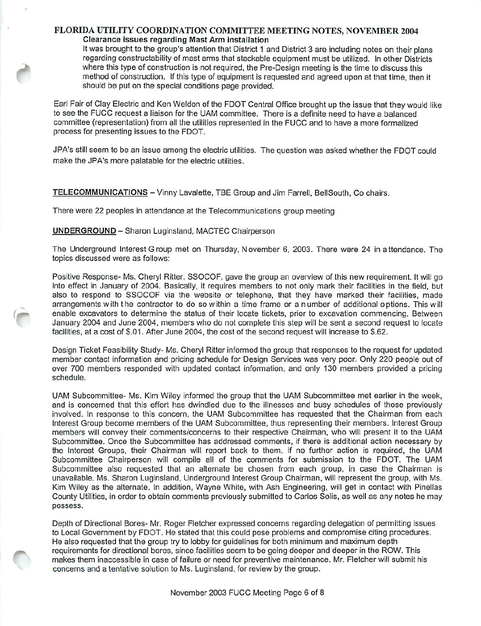### FLORIDA UTILITY COORDINATION COMMITTEE MEETING NOTES, NOVEMBER 2004 Clearance issues regarding Mast Arm installation

It was brought to the group's attention that District 1 and District 3 are including notes on their plans regarding constructability of mast arms that stackable equipment must be utilized. In other Districts where this type of construction is not required, the Pre-Design meeting is the time to discuss this method of construction. If this type of equipment is requested and agreed upon at that time, then it should be put on the special conditions page provided.

Earl Fair of Clay Electric and Ken Weldon of the FOOT Central Office brought up the issue that they would like to see the FUCC request a liaison for the UAM committee. There is a definite need to have a balanced committee (representation) from all the utilities represented in the FUCC and to have a more formalized process for presenting issues to the FDOT.

JPA's still seem to be an issue among the electric utilities. The question was asked whether the FDOT could make the JPA's more palatable for the electric utilities.

TELECOMMUNICATIONS - Vinny Lavalette, TBE Group and Jim Farrell, BellSouth, Co chairs.

There were 22 peoples in attendance at the Telecommunications group meeting

### UNDERGROUND - Sharon Luginsland, MACTEC Chairperson

The Underground Interest Group met on Thursday, November 6, 2003. There were 24 in attendance. The topics discussed were as follows:

Positive Response- Ms. Cheryl Ritter, SSOCOF, gave the group an overview of this new requirement. It will go into effect in January of 2004. Basically, it requires members to not only mark their facilities in the field, but also to respond to SSOCOF via the website or telephone, that they have marked their facilities, made arrangements with the contractor to do so within a time frame or a number of additional options. This will enable excavators to determine the status of their locate tickets, prior to excavation commencing. Between January 2004 and June 2004, members who do not complete this step will be sent a second request to locate facilities, at a cost of S.01. After June 2004, the cost of the second request will increase to S.62.

Design Ticket Feasibility Study- Ms. Cheryl Ritter informed the group that responses to the request for updated member contact information and pricing schedule for Design Services was very poor. Only 220 people out of over 700 members responded with updated contact infonnation, and only 130 members provided a pricing schedule.

UAM Subcommittee- Ms. Kim Wiley informed the group that the UAM Subcommittee met earlier in the week, and is concemed that this effort has dwindled due to the illnesses and busy schedules of those previously involved. In response to this concern, the UAM Subcommittee has requested that the Chairman from each Interest Group become members of the UAM Subcommittee, thus representing their members. Interest Group members will convey their comments/concerns to their respective Chairman, who will present it to the UAM Subcommittee. Once the Subcommittee has addressed comments, if there is additional action necessary by the Interest Groups, their Chairman will report back to them. If no further action is required, the UAM Subcommittee Chairperson will compile all of the comments for submission to the FDOT. The UAM Subcommittee also requested that an altemate be chosen from each group, in case the Chairman is unavailable. Ms. Sharon Luginsland. Underground Interest Group Chairman, will represent the group, with Ms. Kim Wiley as the alternate. In addition, Wayne White, with Ash Engineering, will get in contact with Pinellas County Utilities, in order to obtain comments previously submitted to Carlos Soils, as well as any notes he may possess.

Depth of Directional Bores- Mr. Roger Fletcher expressed concerns regarding delegation of permitting issues to Local Government by FDOT. He stated that this could pose problems and compromise citing procedures. He also requested that the group try to lobby for guidelines for both minimum and maximum depth requirements for directional bores, since facilities seem to be going deeper and deeper in the ROW. This makes them inaccessible in case of failure or need for preventive maintenance. Mr. Fletcher will submit his concerns and a tentative solution to Ms. Luginsland. for review by the group.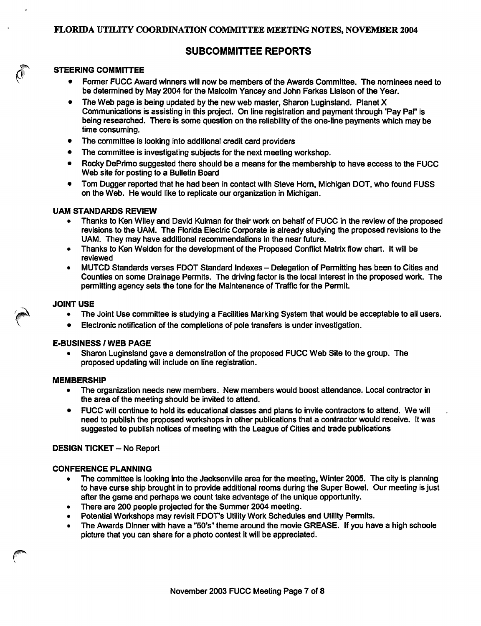## SUBCOMMITTEE REPORTS

### STEERING COMMITTEE

- Former FUCC Award winners will now be members of the Awards Committee. The nominees need to be determined by May 2004 for the Malcolm Yancey and John Farkas Liaison of the Year.
- The Web page is being updated by the new web master, Sharon Luginsland. Planet X Communications is assisting in this project. On line registration and payment through 'Pay Pal" is being researched. There is some question on the reliability of the one-line payments which may be time consuming.
- The committee is looking into additional credit card providers
- The committee is investigating subjects for the next meeting workshop.
- Rocky DePrimo suggested there should be a means for the membership to have access to the FUCC Web site for posting to a Bulletin Board
- Tom Dugger reported that he had been in contact with Steve Hom, Michigan DOT, who found FUSS on the Web. He would like to replicate our organization in Michigan.

### UAM STANDARDS REVIEW

- Thanks to Ken Wiley and David Kuiman for their work on behalf of FUCC in the review of the proposed revisions to the UAM. The Florida Electric Corporate is already studying the proposed revisions to the UAM. They may have additional recommendations in the near future.
- Thanks to Ken Weldon for the development of the Proposed Conflict Matrix flow chart. It will be reviewed
- MUTCD Standards verses FDOT Standard Indexes Delegation of Permitting has been to Cities and Counties on some Drainage Permits. The driving factor is the local interest in the proposed work. The permitting agency sets the tone for the Maintenance of Traffic for the Permit.

### JOINT USE

- The Joint Use committee is studying a Facilities Marking System that would be acceptable to ail users.
- Electronic notification of the completions of pole transfers is under investigation.

### E-BUSINESS / WEB PAGE

• Sharon Luginsland gave a demonstration of the proposed FUCC Web Site to the group. The proposed updating will include on line registration.

### MEMBERSHIP

- The organization needs new members. New members would boost attendance. Local contractor in the area of the meeting should be invited to attend.
- FUCC will continue to hold its educational classes and plans to invite contractors to attend. We will need to publish the proposed workshops in other publications that a contractor would receive. It was suggested to publish notices of meeting with the League of Cities and trade publications

### DESIGN TICKET - No Report

### CONFERENCE PLANNING

- The committee is looking into the Jacksonville area for the meeting. Winter 2005. The city is planning to have curse ship brought in to provide additional rooms during the Super Bowel. Our meeting is just after the game and perhaps we count take advantage of the unique opportunity.
- There are 200 people projected for the Summer 2004 meeting.
- Potential Workshops may revisit FDOT's Utility Work Schedules and Utility Permits.
- The Awards Dinner with have a "50's" theme around the movie GREASE. If you have a high schoole picture that you can share for a photo contest it will be appreciated.